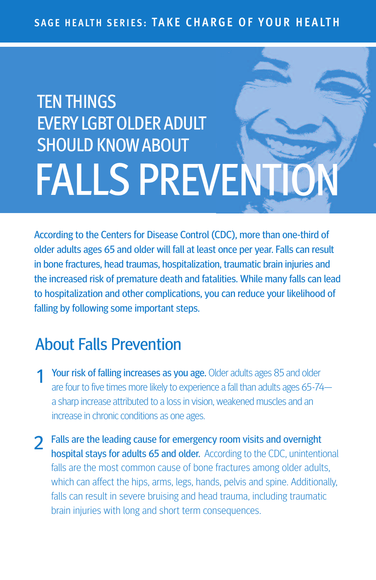# **TEN THINGS EVERY LGBT OLDER ADULT** SHOULD KNOWABOUT FALLS PREVENTI

According to the Centers for Disease Control (CDC), more than one-third of older adults ages 65 and older will fall at least once per year. Falls can result in bone fractures, head traumas, hospitalization, traumatic brain injuries and the increased risk of premature death and fatalities. While many falls can lead to hospitalization and other complications, you can reduce your likelihood of falling by following some important steps.

## About Falls Prevention

- Your risk of falling increases as you age. Older adults ages 85 and older are four to five times more likely to experience a fall than adults ages 65-74 a sharp increase attributed to a loss in vision, weakened muscles and an increase in chronic conditions as one ages.
- 2 Falls are the leading cause for emergency room visits and overnight hospital stays for adults 65 and older. According to the CDC, unintentional falls are the most common cause of bone fractures among older adults, which can affect the hips, arms, legs, hands, pelvis and spine. Additionally, falls can result in severe bruising and head trauma, including traumatic brain injuries with long and short term consequences.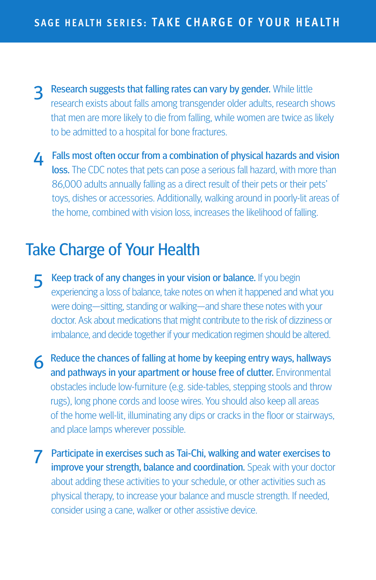- 3 Research suggests that falling rates can vary by gender. While little research exists about falls among transgender older adults, research shows that men are more likely to die from falling, while women are twice as likely to be admitted to a hospital for bone fractures.
- **4** Falls most often occur from a combination of physical hazards and vision loss. The CDC notes that pets can pose a serious fall hazard, with more than 86,000 adults annually falling as a direct result of their pets or their pets' toys, dishes or accessories. Additionally, walking around in poorly-lit areas of the home, combined with vision loss, increases the likelihood of falling.

## Take Charge of Your Health

- 5 Keep track of any changes in your vision or balance. If you begin experiencing a loss of balance, take notes on when it happened and what you were doing—sitting, standing or walking—and share these notes with your doctor. Ask about medications that might contribute to the risk of dizziness or imbalance, and decide together if your medication regimen should be altered.
- 6 Reduce the chances of falling at home by keeping entry ways, hallways and pathways in your apartment or house free of clutter. Environmental obstacles include low-furniture (e.g. side-tables, stepping stools and throw rugs), long phone cords and loose wires. You should also keep all areas of the home well-lit, illuminating any dips or cracks in the floor or stairways, and place lamps wherever possible.
- **7** Participate in exercises such as Tai-Chi, walking and water exercises to improve your strength, balance and coordination. Speak with your doctor about adding these activities to your schedule, or other activities such as physical therapy, to increase your balance and muscle strength. If needed, consider using a cane, walker or other assistive device.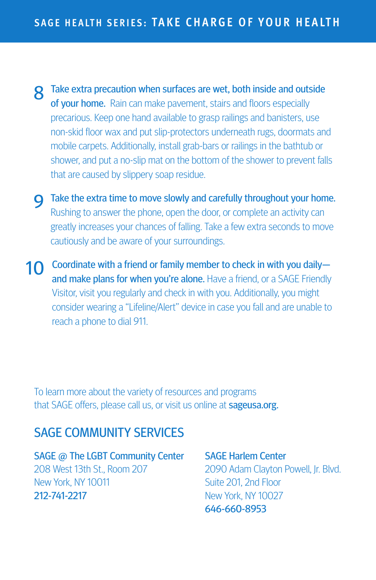- 8 Take extra precaution when surfaces are wet, both inside and outside of your home. Rain can make pavement, stairs and floors especially precarious. Keep one hand available to grasp railings and banisters, use non-skid floor wax and put slip-protectors underneath rugs, doormats and mobile carpets. Additionally, install grab-bars or railings in the bathtub or shower, and put a no-slip mat on the bottom of the shower to prevent falls that are caused by slippery soap residue.
- **Q** Take the extra time to move slowly and carefully throughout your home. Rushing to answer the phone, open the door, or complete an activity can greatly increases your chances of falling. Take a few extra seconds to move cautiously and be aware of your surroundings.
- 10 Coordinate with a friend or family member to check in with you dailyand make plans for when you're alone. Have a friend, or a SAGE Friendly Visitor, visit you regularly and check in with you. Additionally, you might consider wearing a "Lifeline/Alert" device in case you fall and are unable to reach a phone to dial 911.

To learn more about the variety of resources and programs that SAGE offers, please call us, or visit us online at **sageusa.org.** 

#### SAGE COMMUNITY SERVICES

SAGE @ The LGBT Community Center 208 West 13th St., Room 207 New York, NY 10011 212-741-2217

SAGE Harlem Center 2090 Adam Clayton Powell, Jr. Blvd. Suite 201, 2nd Floor New York, NY 10027 646-660-8953